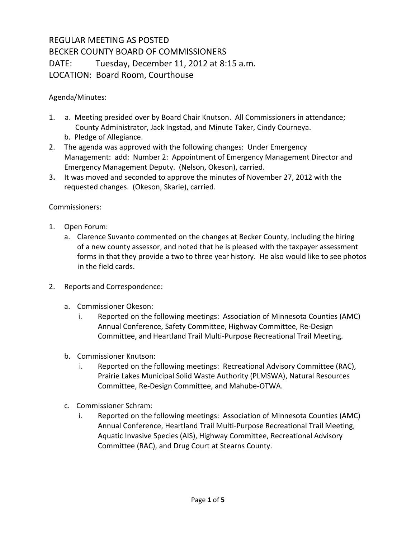## REGULAR MEETING AS POSTED BECKER COUNTY BOARD OF COMMISSIONERS DATE: Tuesday, December 11, 2012 at 8:15 a.m. LOCATION: Board Room, Courthouse

Agenda/Minutes:

- 1. a. Meeting presided over by Board Chair Knutson. All Commissioners in attendance; County Administrator, Jack Ingstad, and Minute Taker, Cindy Courneya.
	- b. Pledge of Allegiance.
- 2. The agenda was approved with the following changes: Under Emergency Management: add: Number 2: Appointment of Emergency Management Director and Emergency Management Deputy. (Nelson, Okeson), carried.
- 3**.** It was moved and seconded to approve the minutes of November 27, 2012 with the requested changes. (Okeson, Skarie), carried.

Commissioners:

- 1. Open Forum:
	- a. Clarence Suvanto commented on the changes at Becker County, including the hiring of a new county assessor, and noted that he is pleased with the taxpayer assessment forms in that they provide a two to three year history. He also would like to see photos in the field cards.
- 2. Reports and Correspondence:
	- a. Commissioner Okeson:
		- i. Reported on the following meetings: Association of Minnesota Counties (AMC) Annual Conference, Safety Committee, Highway Committee, Re-Design Committee, and Heartland Trail Multi-Purpose Recreational Trail Meeting.
	- b. Commissioner Knutson:
		- i. Reported on the following meetings: Recreational Advisory Committee (RAC), Prairie Lakes Municipal Solid Waste Authority (PLMSWA), Natural Resources Committee, Re-Design Committee, and Mahube-OTWA.
	- c. Commissioner Schram:
		- i. Reported on the following meetings: Association of Minnesota Counties (AMC) Annual Conference, Heartland Trail Multi-Purpose Recreational Trail Meeting, Aquatic Invasive Species (AIS), Highway Committee, Recreational Advisory Committee (RAC), and Drug Court at Stearns County.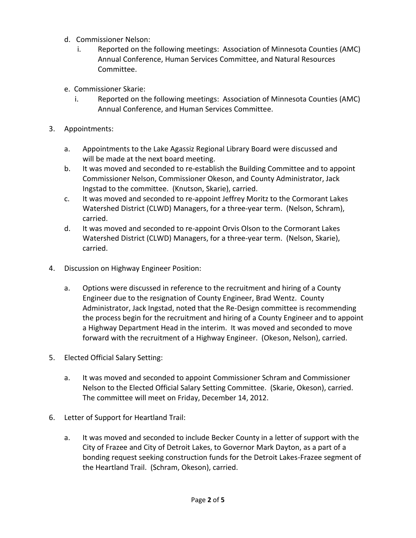- d. Commissioner Nelson:
	- i. Reported on the following meetings: Association of Minnesota Counties (AMC) Annual Conference, Human Services Committee, and Natural Resources Committee.
- e. Commissioner Skarie:
	- i. Reported on the following meetings: Association of Minnesota Counties (AMC) Annual Conference, and Human Services Committee.
- 3. Appointments:
	- a. Appointments to the Lake Agassiz Regional Library Board were discussed and will be made at the next board meeting.
	- b. It was moved and seconded to re-establish the Building Committee and to appoint Commissioner Nelson, Commissioner Okeson, and County Administrator, Jack Ingstad to the committee. (Knutson, Skarie), carried.
	- c. It was moved and seconded to re-appoint Jeffrey Moritz to the Cormorant Lakes Watershed District (CLWD) Managers, for a three-year term. (Nelson, Schram), carried.
	- d. It was moved and seconded to re-appoint Orvis Olson to the Cormorant Lakes Watershed District (CLWD) Managers, for a three-year term. (Nelson, Skarie), carried.
- 4. Discussion on Highway Engineer Position:
	- a. Options were discussed in reference to the recruitment and hiring of a County Engineer due to the resignation of County Engineer, Brad Wentz. County Administrator, Jack Ingstad, noted that the Re-Design committee is recommending the process begin for the recruitment and hiring of a County Engineer and to appoint a Highway Department Head in the interim. It was moved and seconded to move forward with the recruitment of a Highway Engineer. (Okeson, Nelson), carried.
- 5. Elected Official Salary Setting:
	- a. It was moved and seconded to appoint Commissioner Schram and Commissioner Nelson to the Elected Official Salary Setting Committee. (Skarie, Okeson), carried. The committee will meet on Friday, December 14, 2012.
- 6. Letter of Support for Heartland Trail:
	- a. It was moved and seconded to include Becker County in a letter of support with the City of Frazee and City of Detroit Lakes, to Governor Mark Dayton, as a part of a bonding request seeking construction funds for the Detroit Lakes-Frazee segment of the Heartland Trail. (Schram, Okeson), carried.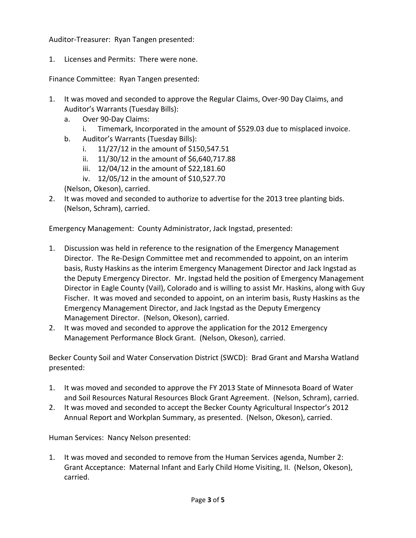Auditor-Treasurer: Ryan Tangen presented:

1. Licenses and Permits: There were none.

Finance Committee: Ryan Tangen presented:

- 1. It was moved and seconded to approve the Regular Claims, Over-90 Day Claims, and Auditor's Warrants (Tuesday Bills):
	- a. Over 90-Day Claims:
		- i. Timemark, Incorporated in the amount of \$529.03 due to misplaced invoice.
	- b. Auditor's Warrants (Tuesday Bills):
		- i. 11/27/12 in the amount of \$150,547.51
		- ii. 11/30/12 in the amount of \$6,640,717.88
		- iii. 12/04/12 in the amount of \$22,181.60
		- iv. 12/05/12 in the amount of \$10,527.70
	- (Nelson, Okeson), carried.
- 2. It was moved and seconded to authorize to advertise for the 2013 tree planting bids. (Nelson, Schram), carried.

Emergency Management: County Administrator, Jack Ingstad, presented:

- 1. Discussion was held in reference to the resignation of the Emergency Management Director. The Re-Design Committee met and recommended to appoint, on an interim basis, Rusty Haskins as the interim Emergency Management Director and Jack Ingstad as the Deputy Emergency Director. Mr. Ingstad held the position of Emergency Management Director in Eagle County (Vail), Colorado and is willing to assist Mr. Haskins, along with Guy Fischer. It was moved and seconded to appoint, on an interim basis, Rusty Haskins as the Emergency Management Director, and Jack Ingstad as the Deputy Emergency Management Director. (Nelson, Okeson), carried.
- 2. It was moved and seconded to approve the application for the 2012 Emergency Management Performance Block Grant. (Nelson, Okeson), carried.

Becker County Soil and Water Conservation District (SWCD): Brad Grant and Marsha Watland presented:

- 1. It was moved and seconded to approve the FY 2013 State of Minnesota Board of Water and Soil Resources Natural Resources Block Grant Agreement. (Nelson, Schram), carried.
- 2. It was moved and seconded to accept the Becker County Agricultural Inspector's 2012 Annual Report and Workplan Summary, as presented. (Nelson, Okeson), carried.

Human Services: Nancy Nelson presented:

1. It was moved and seconded to remove from the Human Services agenda, Number 2: Grant Acceptance: Maternal Infant and Early Child Home Visiting, II. (Nelson, Okeson), carried.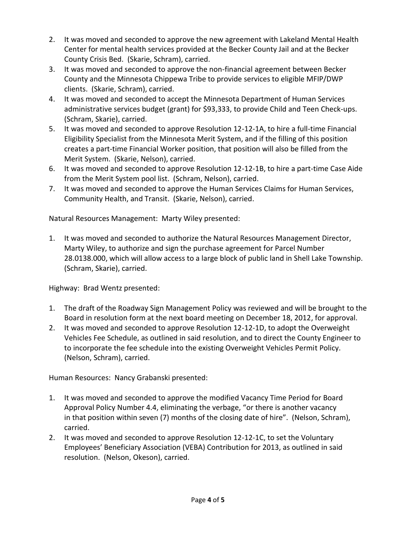- 2. It was moved and seconded to approve the new agreement with Lakeland Mental Health Center for mental health services provided at the Becker County Jail and at the Becker County Crisis Bed. (Skarie, Schram), carried.
- 3. It was moved and seconded to approve the non-financial agreement between Becker County and the Minnesota Chippewa Tribe to provide services to eligible MFIP/DWP clients. (Skarie, Schram), carried.
- 4. It was moved and seconded to accept the Minnesota Department of Human Services administrative services budget (grant) for \$93,333, to provide Child and Teen Check-ups. (Schram, Skarie), carried.
- 5. It was moved and seconded to approve Resolution 12-12-1A, to hire a full-time Financial Eligibility Specialist from the Minnesota Merit System, and if the filling of this position creates a part-time Financial Worker position, that position will also be filled from the Merit System. (Skarie, Nelson), carried.
- 6. It was moved and seconded to approve Resolution 12-12-1B, to hire a part-time Case Aide from the Merit System pool list. (Schram, Nelson), carried.
- 7. It was moved and seconded to approve the Human Services Claims for Human Services, Community Health, and Transit. (Skarie, Nelson), carried.

Natural Resources Management: Marty Wiley presented:

1. It was moved and seconded to authorize the Natural Resources Management Director, Marty Wiley, to authorize and sign the purchase agreement for Parcel Number 28.0138.000, which will allow access to a large block of public land in Shell Lake Township. (Schram, Skarie), carried.

Highway: Brad Wentz presented:

- 1. The draft of the Roadway Sign Management Policy was reviewed and will be brought to the Board in resolution form at the next board meeting on December 18, 2012, for approval.
- 2. It was moved and seconded to approve Resolution 12-12-1D, to adopt the Overweight Vehicles Fee Schedule, as outlined in said resolution, and to direct the County Engineer to to incorporate the fee schedule into the existing Overweight Vehicles Permit Policy. (Nelson, Schram), carried.

Human Resources: Nancy Grabanski presented:

- 1. It was moved and seconded to approve the modified Vacancy Time Period for Board Approval Policy Number 4.4, eliminating the verbage, "or there is another vacancy in that position within seven (7) months of the closing date of hire". (Nelson, Schram), carried.
- 2. It was moved and seconded to approve Resolution 12-12-1C, to set the Voluntary Employees' Beneficiary Association (VEBA) Contribution for 2013, as outlined in said resolution. (Nelson, Okeson), carried.